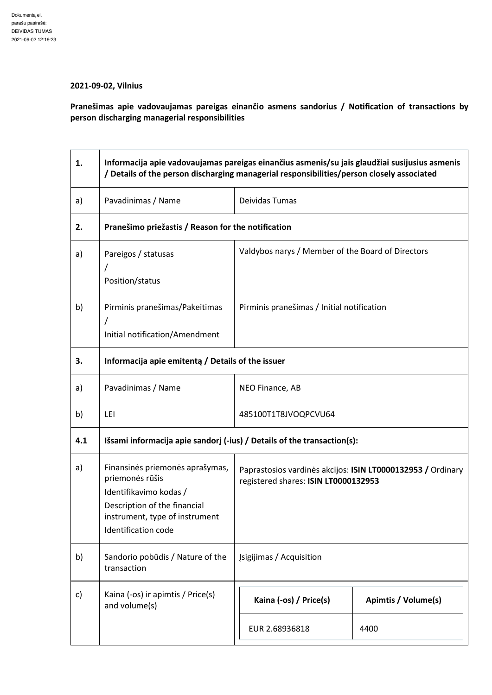## **2021-09-02, Vilnius**

**Pranešimas apie vadovaujamas pareigas einančio asmens sandorius / Notification of transactions by person discharging managerial responsibilities** 

| 1.  | Informacija apie vadovaujamas pareigas einančius asmenis/su jais glaudžiai susijusius asmenis<br>/ Details of the person discharging managerial responsibilities/person closely associated |                                                                                                     |                     |
|-----|--------------------------------------------------------------------------------------------------------------------------------------------------------------------------------------------|-----------------------------------------------------------------------------------------------------|---------------------|
| a)  | Pavadinimas / Name                                                                                                                                                                         | Deividas Tumas                                                                                      |                     |
| 2.  | Pranešimo priežastis / Reason for the notification                                                                                                                                         |                                                                                                     |                     |
| a)  | Pareigos / statusas<br>Position/status                                                                                                                                                     | Valdybos narys / Member of the Board of Directors                                                   |                     |
| b)  | Pirminis pranešimas/Pakeitimas<br>7<br>Initial notification/Amendment                                                                                                                      | Pirminis pranešimas / Initial notification                                                          |                     |
| 3.  | Informacija apie emitentą / Details of the issuer                                                                                                                                          |                                                                                                     |                     |
| a)  | Pavadinimas / Name                                                                                                                                                                         | NEO Finance, AB                                                                                     |                     |
| b)  | LEI                                                                                                                                                                                        | 485100T1T8JVOQPCVU64                                                                                |                     |
| 4.1 | Išsami informacija apie sandorį (-ius) / Details of the transaction(s):                                                                                                                    |                                                                                                     |                     |
| a)  | Finansinės priemonės aprašymas,<br>priemonės rūšis<br>Identifikavimo kodas /<br>Description of the financial<br>instrument, type of instrument<br><b>Identification code</b>               | Paprastosios vardinės akcijos: ISIN LT0000132953 / Ordinary<br>registered shares: ISIN LT0000132953 |                     |
| b)  | Sandorio pobūdis / Nature of the<br>transaction                                                                                                                                            | <b>Jsigijimas / Acquisition</b>                                                                     |                     |
| c)  | Kaina (-os) ir apimtis / Price(s)<br>and volume(s)                                                                                                                                         | Kaina (-os) / Price(s)                                                                              | Apimtis / Volume(s) |
|     |                                                                                                                                                                                            | EUR 2.68936818                                                                                      | 4400                |